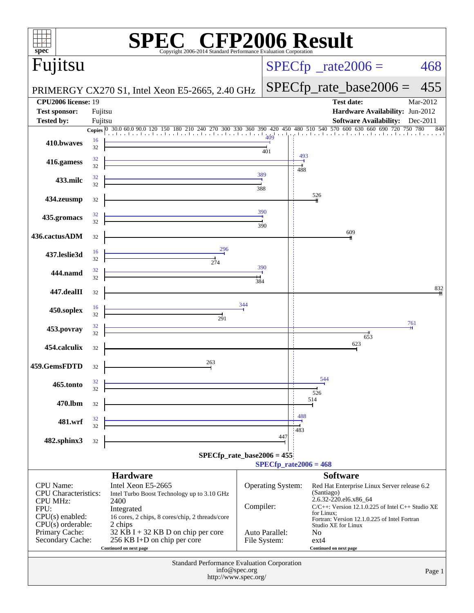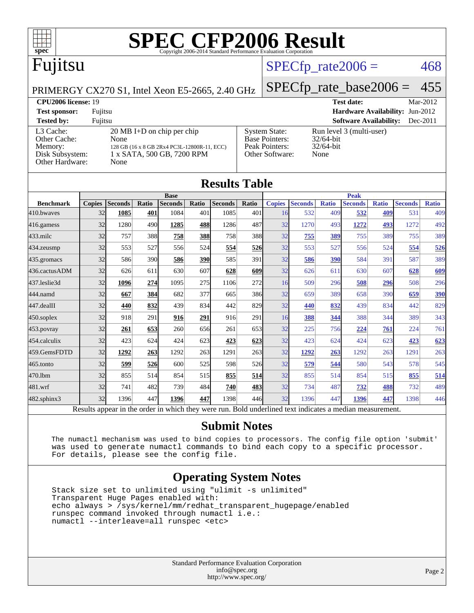

# Fujitsu

### $SPECTp\_rate2006 = 468$

#### PRIMERGY CX270 S1, Intel Xeon E5-2665, 2.40 GHz

[SPECfp\\_rate\\_base2006 =](http://www.spec.org/auto/cpu2006/Docs/result-fields.html#SPECfpratebase2006) 455

#### **[CPU2006 license:](http://www.spec.org/auto/cpu2006/Docs/result-fields.html#CPU2006license)** 19 **[Test date:](http://www.spec.org/auto/cpu2006/Docs/result-fields.html#Testdate)** Mar-2012 **[Test sponsor:](http://www.spec.org/auto/cpu2006/Docs/result-fields.html#Testsponsor)** Fujitsu **[Hardware Availability:](http://www.spec.org/auto/cpu2006/Docs/result-fields.html#HardwareAvailability)** Jun-2012 **[Tested by:](http://www.spec.org/auto/cpu2006/Docs/result-fields.html#Testedby)** Fujitsu **[Software Availability:](http://www.spec.org/auto/cpu2006/Docs/result-fields.html#SoftwareAvailability)** Dec-2011 [L3 Cache:](http://www.spec.org/auto/cpu2006/Docs/result-fields.html#L3Cache) 20 MB I+D on chip per chip<br>Other Cache: None [Other Cache:](http://www.spec.org/auto/cpu2006/Docs/result-fields.html#OtherCache) [Memory:](http://www.spec.org/auto/cpu2006/Docs/result-fields.html#Memory) 128 GB (16 x 8 GB 2Rx4 PC3L-12800R-11, ECC) [Disk Subsystem:](http://www.spec.org/auto/cpu2006/Docs/result-fields.html#DiskSubsystem) 1 x SATA, 500 GB, 7200 RPM [Other Hardware:](http://www.spec.org/auto/cpu2006/Docs/result-fields.html#OtherHardware) None [System State:](http://www.spec.org/auto/cpu2006/Docs/result-fields.html#SystemState) Run level 3 (multi-user)<br>Base Pointers: 32/64-bit [Base Pointers:](http://www.spec.org/auto/cpu2006/Docs/result-fields.html#BasePointers) 32/64-bit<br>Peak Pointers: 32/64-bit [Peak Pointers:](http://www.spec.org/auto/cpu2006/Docs/result-fields.html#PeakPointers) [Other Software:](http://www.spec.org/auto/cpu2006/Docs/result-fields.html#OtherSoftware) None

| <b>Results Table</b> |               |                                                                                                          |       |                |            |                |             |               |                |              |                |              |                |              |
|----------------------|---------------|----------------------------------------------------------------------------------------------------------|-------|----------------|------------|----------------|-------------|---------------|----------------|--------------|----------------|--------------|----------------|--------------|
|                      | <b>Base</b>   |                                                                                                          |       |                |            |                | <b>Peak</b> |               |                |              |                |              |                |              |
| <b>Benchmark</b>     | <b>Copies</b> | <b>Seconds</b>                                                                                           | Ratio | <b>Seconds</b> | Ratio      | <b>Seconds</b> | Ratio       | <b>Copies</b> | <b>Seconds</b> | <b>Ratio</b> | <b>Seconds</b> | <b>Ratio</b> | <b>Seconds</b> | <b>Ratio</b> |
| 410.bwayes           | 32            | 1085                                                                                                     | 401   | 1084           | 401        | 1085           | 401         | 16            | 532            | 409          | 532            | 409          | 531            | 409          |
| $416$ .gamess        | 32            | 1280                                                                                                     | 490   | 1285           | <u>488</u> | 1286           | 487         | 32            | 1270           | 493          | 1272           | 493          | 1272           | 492          |
| 433.milc             | 32            | 757                                                                                                      | 388   | 758            | 388        | 758            | 388         | 32            | 755            | 389          | 755            | 389          | 755            | 389          |
| $434$ . zeusmp       | 32            | 553                                                                                                      | 527   | 556            | 524        | 554            | 526         | 32            | 553            | 527          | 556            | 524          | 554            | 526          |
| 435.gromacs          | 32            | 586                                                                                                      | 390   | 586            | <b>390</b> | 585            | 391         | 32            | 586            | 390          | 584            | 391          | 587            | 389          |
| 436.cactusADM        | 32            | 626                                                                                                      | 611   | 630            | 607        | 628            | <b>609</b>  | 32            | 626            | 611          | 630            | 607          | 628            | 609          |
| 437.leslie3d         | 32            | 1096                                                                                                     | 274   | 1095           | 275        | 1106           | 272         | 16            | 509            | 296          | 508            | 296          | 508            | 296          |
| 444.namd             | 32            | 667                                                                                                      | 384   | 682            | 377        | 665            | 386         | 32            | 659            | 389          | 658            | 390          | 659            | 390          |
| $447$ .dealII        | 32            | 440                                                                                                      | 832   | 439            | 834        | 442            | 829         | 32            | 440            | 832          | 439            | 834          | 442            | 829          |
| 450.soplex           | 32            | 918                                                                                                      | 291   | 916            | 291        | 916            | 291         | 16            | 388            | 344          | 388            | 344          | 389            | 343          |
| 453.povray           | 32            | 261                                                                                                      | 653   | 260            | 656        | 261            | 653         | 32            | 225            | 756          | 224            | 761          | 224            | 761          |
| 454.calculix         | 32            | 423                                                                                                      | 624   | 424            | 623        | 423            | 623         | 32            | 423            | 624          | 424            | 623          | 423            | 623          |
| 459.GemsFDTD         | 32            | 1292                                                                                                     | 263   | 1292           | 263        | 1291           | 263         | 32            | 1292           | 263          | 1292           | 263          | 1291           | 263          |
| $465$ .tonto         | 32            | 599                                                                                                      | 526   | 600            | 525        | 598            | 526         | 32            | 579            | 544          | 580            | 543          | 578            | 545          |
| 470.1bm              | 32            | 855                                                                                                      | 514   | 854            | 515        | 855            | 514         | 32            | 855            | 514          | 854            | 515          | 855            | 514          |
| 481.wrf              | 32            | 741                                                                                                      | 482   | 739            | 484        | 740            | <u>483</u>  | 32            | 734            | 487          | 732            | 488          | 732            | 489          |
| 482.sphinx3          | 32            | 1396                                                                                                     | 447   | 1396           | 447        | 1398           | 446         | 32            | 1396           | 447          | 1396           | 447          | 1398           | 446          |
|                      |               | Results appear in the order in which they were run. Bold underlined text indicates a median measurement. |       |                |            |                |             |               |                |              |                |              |                |              |

### **[Submit Notes](http://www.spec.org/auto/cpu2006/Docs/result-fields.html#SubmitNotes)**

 The numactl mechanism was used to bind copies to processors. The config file option 'submit' was used to generate numactl commands to bind each copy to a specific processor. For details, please see the config file.

### **[Operating System Notes](http://www.spec.org/auto/cpu2006/Docs/result-fields.html#OperatingSystemNotes)**

 Stack size set to unlimited using "ulimit -s unlimited" Transparent Huge Pages enabled with: echo always > /sys/kernel/mm/redhat\_transparent\_hugepage/enabled runspec command invoked through numactl i.e.: numactl --interleave=all runspec <etc>

> Standard Performance Evaluation Corporation [info@spec.org](mailto:info@spec.org) <http://www.spec.org/>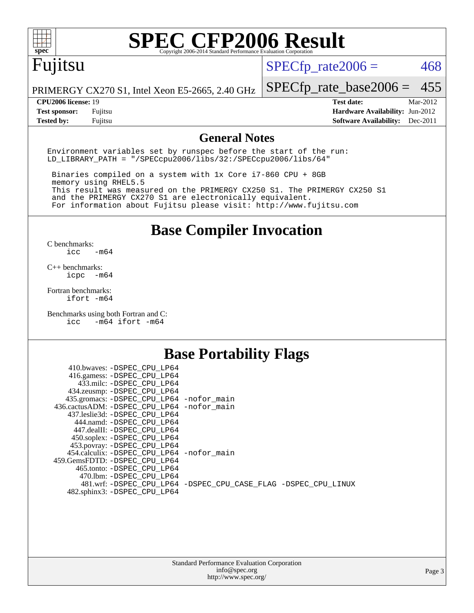

# Fujitsu

 $SPECTp_rate2006 = 468$ 

PRIMERGY CX270 S1, Intel Xeon E5-2665, 2.40 GHz

[SPECfp\\_rate\\_base2006 =](http://www.spec.org/auto/cpu2006/Docs/result-fields.html#SPECfpratebase2006) 455

**[CPU2006 license:](http://www.spec.org/auto/cpu2006/Docs/result-fields.html#CPU2006license)** 19 **[Test date:](http://www.spec.org/auto/cpu2006/Docs/result-fields.html#Testdate)** Mar-2012 **[Test sponsor:](http://www.spec.org/auto/cpu2006/Docs/result-fields.html#Testsponsor)** Fujitsu **[Hardware Availability:](http://www.spec.org/auto/cpu2006/Docs/result-fields.html#HardwareAvailability)** Jun-2012 **[Tested by:](http://www.spec.org/auto/cpu2006/Docs/result-fields.html#Testedby)** Fujitsu **[Software Availability:](http://www.spec.org/auto/cpu2006/Docs/result-fields.html#SoftwareAvailability)** Dec-2011

### **[General Notes](http://www.spec.org/auto/cpu2006/Docs/result-fields.html#GeneralNotes)**

Environment variables set by runspec before the start of the run: LD\_LIBRARY\_PATH = "/SPECcpu2006/libs/32:/SPECcpu2006/libs/64"

 Binaries compiled on a system with 1x Core i7-860 CPU + 8GB memory using RHEL5.5 This result was measured on the PRIMERGY CX250 S1. The PRIMERGY CX250 S1 and the PRIMERGY CX270 S1 are electronically equivalent. For information about Fujitsu please visit: <http://www.fujitsu.com>

**[Base Compiler Invocation](http://www.spec.org/auto/cpu2006/Docs/result-fields.html#BaseCompilerInvocation)**

 $C$  benchmarks:<br>icc  $-m64$ 

[C++ benchmarks:](http://www.spec.org/auto/cpu2006/Docs/result-fields.html#CXXbenchmarks) [icpc -m64](http://www.spec.org/cpu2006/results/res2012q3/cpu2006-20120620-23116.flags.html#user_CXXbase_intel_icpc_64bit_bedb90c1146cab66620883ef4f41a67e)

[Fortran benchmarks](http://www.spec.org/auto/cpu2006/Docs/result-fields.html#Fortranbenchmarks): [ifort -m64](http://www.spec.org/cpu2006/results/res2012q3/cpu2006-20120620-23116.flags.html#user_FCbase_intel_ifort_64bit_ee9d0fb25645d0210d97eb0527dcc06e)

[Benchmarks using both Fortran and C](http://www.spec.org/auto/cpu2006/Docs/result-fields.html#BenchmarksusingbothFortranandC): [icc -m64](http://www.spec.org/cpu2006/results/res2012q3/cpu2006-20120620-23116.flags.html#user_CC_FCbase_intel_icc_64bit_0b7121f5ab7cfabee23d88897260401c) [ifort -m64](http://www.spec.org/cpu2006/results/res2012q3/cpu2006-20120620-23116.flags.html#user_CC_FCbase_intel_ifort_64bit_ee9d0fb25645d0210d97eb0527dcc06e)

### **[Base Portability Flags](http://www.spec.org/auto/cpu2006/Docs/result-fields.html#BasePortabilityFlags)**

| 410.bwaves: -DSPEC CPU LP64                 |                                                                |
|---------------------------------------------|----------------------------------------------------------------|
| 416.gamess: -DSPEC_CPU_LP64                 |                                                                |
| 433.milc: -DSPEC CPU LP64                   |                                                                |
| 434.zeusmp: -DSPEC_CPU_LP64                 |                                                                |
| 435.gromacs: -DSPEC_CPU_LP64 -nofor_main    |                                                                |
| 436.cactusADM: -DSPEC CPU LP64 -nofor main  |                                                                |
| 437.leslie3d: -DSPEC CPU LP64               |                                                                |
| 444.namd: -DSPEC CPU LP64                   |                                                                |
| 447.dealII: -DSPEC CPU LP64                 |                                                                |
| 450.soplex: -DSPEC_CPU_LP64                 |                                                                |
| 453.povray: -DSPEC_CPU_LP64                 |                                                                |
| 454.calculix: - DSPEC CPU LP64 - nofor main |                                                                |
| 459. GemsFDTD: - DSPEC CPU LP64             |                                                                |
| 465.tonto: - DSPEC CPU LP64                 |                                                                |
| 470.1bm: - DSPEC CPU LP64                   |                                                                |
|                                             | 481.wrf: -DSPEC CPU_LP64 -DSPEC_CPU_CASE_FLAG -DSPEC_CPU_LINUX |
| 482.sphinx3: -DSPEC_CPU_LP64                |                                                                |
|                                             |                                                                |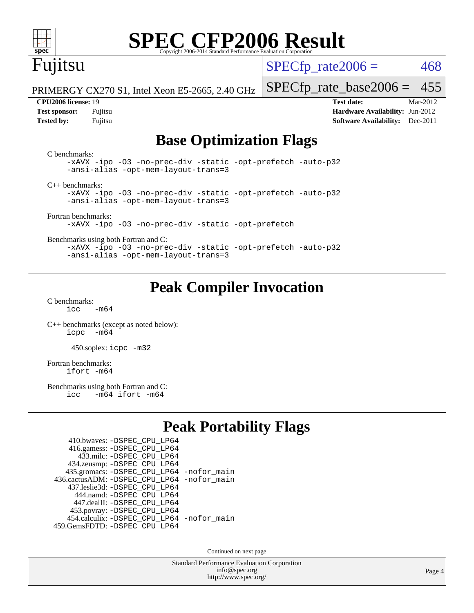

# Fujitsu

 $SPECTp\_rate2006 = 468$ 

PRIMERGY CX270 S1, Intel Xeon E5-2665, 2.40 GHz

#### **[CPU2006 license:](http://www.spec.org/auto/cpu2006/Docs/result-fields.html#CPU2006license)** 19 **[Test date:](http://www.spec.org/auto/cpu2006/Docs/result-fields.html#Testdate)** Mar-2012

[SPECfp\\_rate\\_base2006 =](http://www.spec.org/auto/cpu2006/Docs/result-fields.html#SPECfpratebase2006) 455

**[Test sponsor:](http://www.spec.org/auto/cpu2006/Docs/result-fields.html#Testsponsor)** Fujitsu **[Hardware Availability:](http://www.spec.org/auto/cpu2006/Docs/result-fields.html#HardwareAvailability)** Jun-2012 **[Tested by:](http://www.spec.org/auto/cpu2006/Docs/result-fields.html#Testedby)** Fujitsu **[Software Availability:](http://www.spec.org/auto/cpu2006/Docs/result-fields.html#SoftwareAvailability)** Dec-2011

## **[Base Optimization Flags](http://www.spec.org/auto/cpu2006/Docs/result-fields.html#BaseOptimizationFlags)**

[C benchmarks](http://www.spec.org/auto/cpu2006/Docs/result-fields.html#Cbenchmarks): [-xAVX](http://www.spec.org/cpu2006/results/res2012q3/cpu2006-20120620-23116.flags.html#user_CCbase_f-xAVX) [-ipo](http://www.spec.org/cpu2006/results/res2012q3/cpu2006-20120620-23116.flags.html#user_CCbase_f-ipo) [-O3](http://www.spec.org/cpu2006/results/res2012q3/cpu2006-20120620-23116.flags.html#user_CCbase_f-O3) [-no-prec-div](http://www.spec.org/cpu2006/results/res2012q3/cpu2006-20120620-23116.flags.html#user_CCbase_f-no-prec-div) [-static](http://www.spec.org/cpu2006/results/res2012q3/cpu2006-20120620-23116.flags.html#user_CCbase_f-static) [-opt-prefetch](http://www.spec.org/cpu2006/results/res2012q3/cpu2006-20120620-23116.flags.html#user_CCbase_f-opt-prefetch) [-auto-p32](http://www.spec.org/cpu2006/results/res2012q3/cpu2006-20120620-23116.flags.html#user_CCbase_f-auto-p32) [-ansi-alias](http://www.spec.org/cpu2006/results/res2012q3/cpu2006-20120620-23116.flags.html#user_CCbase_f-ansi-alias) [-opt-mem-layout-trans=3](http://www.spec.org/cpu2006/results/res2012q3/cpu2006-20120620-23116.flags.html#user_CCbase_f-opt-mem-layout-trans_a7b82ad4bd7abf52556d4961a2ae94d5) [C++ benchmarks:](http://www.spec.org/auto/cpu2006/Docs/result-fields.html#CXXbenchmarks) [-xAVX](http://www.spec.org/cpu2006/results/res2012q3/cpu2006-20120620-23116.flags.html#user_CXXbase_f-xAVX) [-ipo](http://www.spec.org/cpu2006/results/res2012q3/cpu2006-20120620-23116.flags.html#user_CXXbase_f-ipo) [-O3](http://www.spec.org/cpu2006/results/res2012q3/cpu2006-20120620-23116.flags.html#user_CXXbase_f-O3) [-no-prec-div](http://www.spec.org/cpu2006/results/res2012q3/cpu2006-20120620-23116.flags.html#user_CXXbase_f-no-prec-div) [-static](http://www.spec.org/cpu2006/results/res2012q3/cpu2006-20120620-23116.flags.html#user_CXXbase_f-static) [-opt-prefetch](http://www.spec.org/cpu2006/results/res2012q3/cpu2006-20120620-23116.flags.html#user_CXXbase_f-opt-prefetch) [-auto-p32](http://www.spec.org/cpu2006/results/res2012q3/cpu2006-20120620-23116.flags.html#user_CXXbase_f-auto-p32) [-ansi-alias](http://www.spec.org/cpu2006/results/res2012q3/cpu2006-20120620-23116.flags.html#user_CXXbase_f-ansi-alias) [-opt-mem-layout-trans=3](http://www.spec.org/cpu2006/results/res2012q3/cpu2006-20120620-23116.flags.html#user_CXXbase_f-opt-mem-layout-trans_a7b82ad4bd7abf52556d4961a2ae94d5) [Fortran benchmarks](http://www.spec.org/auto/cpu2006/Docs/result-fields.html#Fortranbenchmarks): [-xAVX](http://www.spec.org/cpu2006/results/res2012q3/cpu2006-20120620-23116.flags.html#user_FCbase_f-xAVX) [-ipo](http://www.spec.org/cpu2006/results/res2012q3/cpu2006-20120620-23116.flags.html#user_FCbase_f-ipo) [-O3](http://www.spec.org/cpu2006/results/res2012q3/cpu2006-20120620-23116.flags.html#user_FCbase_f-O3) [-no-prec-div](http://www.spec.org/cpu2006/results/res2012q3/cpu2006-20120620-23116.flags.html#user_FCbase_f-no-prec-div) [-static](http://www.spec.org/cpu2006/results/res2012q3/cpu2006-20120620-23116.flags.html#user_FCbase_f-static) [-opt-prefetch](http://www.spec.org/cpu2006/results/res2012q3/cpu2006-20120620-23116.flags.html#user_FCbase_f-opt-prefetch) [Benchmarks using both Fortran and C](http://www.spec.org/auto/cpu2006/Docs/result-fields.html#BenchmarksusingbothFortranandC): [-xAVX](http://www.spec.org/cpu2006/results/res2012q3/cpu2006-20120620-23116.flags.html#user_CC_FCbase_f-xAVX) [-ipo](http://www.spec.org/cpu2006/results/res2012q3/cpu2006-20120620-23116.flags.html#user_CC_FCbase_f-ipo) [-O3](http://www.spec.org/cpu2006/results/res2012q3/cpu2006-20120620-23116.flags.html#user_CC_FCbase_f-O3) [-no-prec-div](http://www.spec.org/cpu2006/results/res2012q3/cpu2006-20120620-23116.flags.html#user_CC_FCbase_f-no-prec-div) [-static](http://www.spec.org/cpu2006/results/res2012q3/cpu2006-20120620-23116.flags.html#user_CC_FCbase_f-static) [-opt-prefetch](http://www.spec.org/cpu2006/results/res2012q3/cpu2006-20120620-23116.flags.html#user_CC_FCbase_f-opt-prefetch) [-auto-p32](http://www.spec.org/cpu2006/results/res2012q3/cpu2006-20120620-23116.flags.html#user_CC_FCbase_f-auto-p32) [-ansi-alias](http://www.spec.org/cpu2006/results/res2012q3/cpu2006-20120620-23116.flags.html#user_CC_FCbase_f-ansi-alias) [-opt-mem-layout-trans=3](http://www.spec.org/cpu2006/results/res2012q3/cpu2006-20120620-23116.flags.html#user_CC_FCbase_f-opt-mem-layout-trans_a7b82ad4bd7abf52556d4961a2ae94d5)

## **[Peak Compiler Invocation](http://www.spec.org/auto/cpu2006/Docs/result-fields.html#PeakCompilerInvocation)**

[C benchmarks](http://www.spec.org/auto/cpu2006/Docs/result-fields.html#Cbenchmarks):  $icc$   $-m64$ 

[C++ benchmarks \(except as noted below\):](http://www.spec.org/auto/cpu2006/Docs/result-fields.html#CXXbenchmarksexceptasnotedbelow) [icpc -m64](http://www.spec.org/cpu2006/results/res2012q3/cpu2006-20120620-23116.flags.html#user_CXXpeak_intel_icpc_64bit_bedb90c1146cab66620883ef4f41a67e)

450.soplex: [icpc -m32](http://www.spec.org/cpu2006/results/res2012q3/cpu2006-20120620-23116.flags.html#user_peakCXXLD450_soplex_intel_icpc_4e5a5ef1a53fd332b3c49e69c3330699)

[Fortran benchmarks](http://www.spec.org/auto/cpu2006/Docs/result-fields.html#Fortranbenchmarks): [ifort -m64](http://www.spec.org/cpu2006/results/res2012q3/cpu2006-20120620-23116.flags.html#user_FCpeak_intel_ifort_64bit_ee9d0fb25645d0210d97eb0527dcc06e)

[Benchmarks using both Fortran and C](http://www.spec.org/auto/cpu2006/Docs/result-fields.html#BenchmarksusingbothFortranandC):<br>icc -m64 ifort -m64  $-m64$  ifort  $-m64$ 

## **[Peak Portability Flags](http://www.spec.org/auto/cpu2006/Docs/result-fields.html#PeakPortabilityFlags)**

| 410.bwaves: - DSPEC_CPU_LP64                |  |
|---------------------------------------------|--|
| 416.gamess: -DSPEC_CPU_LP64                 |  |
| 433.milc: - DSPEC_CPU LP64                  |  |
| 434.zeusmp: -DSPEC_CPU_LP64                 |  |
| 435.gromacs: -DSPEC_CPU_LP64 -nofor_main    |  |
| 436.cactusADM: -DSPEC CPU LP64 -nofor main  |  |
| 437.leslie3d: -DSPEC CPU LP64               |  |
| 444.namd: - DSPEC CPU LP64                  |  |
| 447.dealII: -DSPEC CPU LP64                 |  |
| 453.povray: -DSPEC_CPU_LP64                 |  |
| 454.calculix: - DSPEC CPU LP64 - nofor main |  |
| 459.GemsFDTD: - DSPEC CPU LP64              |  |

Continued on next page

Standard Performance Evaluation Corporation [info@spec.org](mailto:info@spec.org) <http://www.spec.org/>

Page 4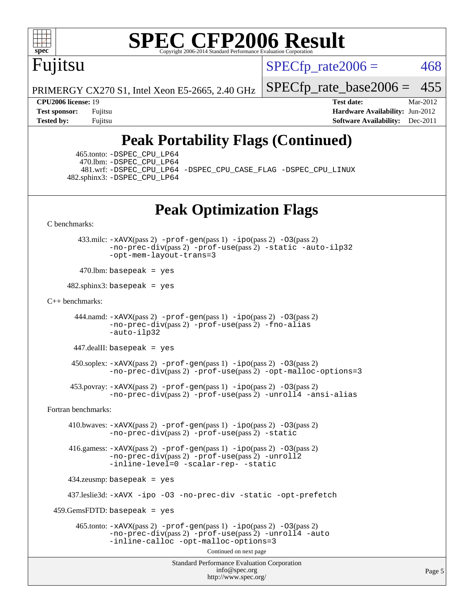

# Fujitsu

 $SPECTp\_rate2006 = 468$ 

PRIMERGY CX270 S1, Intel Xeon E5-2665, 2.40 GHz

[SPECfp\\_rate\\_base2006 =](http://www.spec.org/auto/cpu2006/Docs/result-fields.html#SPECfpratebase2006) 455 **[CPU2006 license:](http://www.spec.org/auto/cpu2006/Docs/result-fields.html#CPU2006license)** 19 **[Test date:](http://www.spec.org/auto/cpu2006/Docs/result-fields.html#Testdate)** Mar-2012

**[Test sponsor:](http://www.spec.org/auto/cpu2006/Docs/result-fields.html#Testsponsor)** Fujitsu **[Hardware Availability:](http://www.spec.org/auto/cpu2006/Docs/result-fields.html#HardwareAvailability)** Jun-2012 **[Tested by:](http://www.spec.org/auto/cpu2006/Docs/result-fields.html#Testedby)** Fujitsu **[Software Availability:](http://www.spec.org/auto/cpu2006/Docs/result-fields.html#SoftwareAvailability)** Dec-2011

# **[Peak Portability Flags \(Continued\)](http://www.spec.org/auto/cpu2006/Docs/result-fields.html#PeakPortabilityFlags)**

 465.tonto: [-DSPEC\\_CPU\\_LP64](http://www.spec.org/cpu2006/results/res2012q3/cpu2006-20120620-23116.flags.html#suite_peakPORTABILITY465_tonto_DSPEC_CPU_LP64) 470.lbm: [-DSPEC\\_CPU\\_LP64](http://www.spec.org/cpu2006/results/res2012q3/cpu2006-20120620-23116.flags.html#suite_peakPORTABILITY470_lbm_DSPEC_CPU_LP64) 481.wrf: [-DSPEC\\_CPU\\_LP64](http://www.spec.org/cpu2006/results/res2012q3/cpu2006-20120620-23116.flags.html#suite_peakPORTABILITY481_wrf_DSPEC_CPU_LP64) [-DSPEC\\_CPU\\_CASE\\_FLAG](http://www.spec.org/cpu2006/results/res2012q3/cpu2006-20120620-23116.flags.html#b481.wrf_peakCPORTABILITY_DSPEC_CPU_CASE_FLAG) [-DSPEC\\_CPU\\_LINUX](http://www.spec.org/cpu2006/results/res2012q3/cpu2006-20120620-23116.flags.html#b481.wrf_peakCPORTABILITY_DSPEC_CPU_LINUX) 482.sphinx3: [-DSPEC\\_CPU\\_LP64](http://www.spec.org/cpu2006/results/res2012q3/cpu2006-20120620-23116.flags.html#suite_peakPORTABILITY482_sphinx3_DSPEC_CPU_LP64)

# **[Peak Optimization Flags](http://www.spec.org/auto/cpu2006/Docs/result-fields.html#PeakOptimizationFlags)**

[C benchmarks](http://www.spec.org/auto/cpu2006/Docs/result-fields.html#Cbenchmarks):

 433.milc: [-xAVX](http://www.spec.org/cpu2006/results/res2012q3/cpu2006-20120620-23116.flags.html#user_peakPASS2_CFLAGSPASS2_LDFLAGS433_milc_f-xAVX)(pass 2) [-prof-gen](http://www.spec.org/cpu2006/results/res2012q3/cpu2006-20120620-23116.flags.html#user_peakPASS1_CFLAGSPASS1_LDFLAGS433_milc_prof_gen_e43856698f6ca7b7e442dfd80e94a8fc)(pass 1) [-ipo](http://www.spec.org/cpu2006/results/res2012q3/cpu2006-20120620-23116.flags.html#user_peakPASS2_CFLAGSPASS2_LDFLAGS433_milc_f-ipo)(pass 2) [-O3](http://www.spec.org/cpu2006/results/res2012q3/cpu2006-20120620-23116.flags.html#user_peakPASS2_CFLAGSPASS2_LDFLAGS433_milc_f-O3)(pass 2) [-no-prec-div](http://www.spec.org/cpu2006/results/res2012q3/cpu2006-20120620-23116.flags.html#user_peakPASS2_CFLAGSPASS2_LDFLAGS433_milc_f-no-prec-div)(pass 2) [-prof-use](http://www.spec.org/cpu2006/results/res2012q3/cpu2006-20120620-23116.flags.html#user_peakPASS2_CFLAGSPASS2_LDFLAGS433_milc_prof_use_bccf7792157ff70d64e32fe3e1250b55)(pass 2) [-static](http://www.spec.org/cpu2006/results/res2012q3/cpu2006-20120620-23116.flags.html#user_peakOPTIMIZE433_milc_f-static) [-auto-ilp32](http://www.spec.org/cpu2006/results/res2012q3/cpu2006-20120620-23116.flags.html#user_peakCOPTIMIZE433_milc_f-auto-ilp32) [-opt-mem-layout-trans=3](http://www.spec.org/cpu2006/results/res2012q3/cpu2006-20120620-23116.flags.html#user_peakCOPTIMIZE433_milc_f-opt-mem-layout-trans_a7b82ad4bd7abf52556d4961a2ae94d5)

 $470$ .lbm: basepeak = yes

 $482$ .sphinx3: basepeak = yes

#### [C++ benchmarks:](http://www.spec.org/auto/cpu2006/Docs/result-fields.html#CXXbenchmarks)

```
444.namd: -xAVX(pass 2) -prof-gen(pass 1) -ppo(pass 2) -03(pass 2)
 -no-prec-div(pass 2) -prof-use(pass 2) -fno-alias
 -auto-ilp32
```
447.dealII: basepeak = yes

 $450$ .soplex:  $-x$ AVX(pass 2)  $-p$ rof-gen(pass 1)  $-i$ po(pass 2)  $-03$ (pass 2) [-no-prec-div](http://www.spec.org/cpu2006/results/res2012q3/cpu2006-20120620-23116.flags.html#user_peakPASS2_CXXFLAGSPASS2_LDFLAGS450_soplex_f-no-prec-div)(pass 2) [-prof-use](http://www.spec.org/cpu2006/results/res2012q3/cpu2006-20120620-23116.flags.html#user_peakPASS2_CXXFLAGSPASS2_LDFLAGS450_soplex_prof_use_bccf7792157ff70d64e32fe3e1250b55)(pass 2) [-opt-malloc-options=3](http://www.spec.org/cpu2006/results/res2012q3/cpu2006-20120620-23116.flags.html#user_peakOPTIMIZE450_soplex_f-opt-malloc-options_13ab9b803cf986b4ee62f0a5998c2238)

```
 453.povray: -xAVX(pass 2) -prof-gen(pass 1) -ipo(pass 2) -O3(pass 2)
   -no-prec-div(pass 2) -prof-use(pass 2) -unroll4 -ansi-alias
```
[Fortran benchmarks](http://www.spec.org/auto/cpu2006/Docs/result-fields.html#Fortranbenchmarks):

 410.bwaves: [-xAVX](http://www.spec.org/cpu2006/results/res2012q3/cpu2006-20120620-23116.flags.html#user_peakPASS2_FFLAGSPASS2_LDFLAGS410_bwaves_f-xAVX)(pass 2) [-prof-gen](http://www.spec.org/cpu2006/results/res2012q3/cpu2006-20120620-23116.flags.html#user_peakPASS1_FFLAGSPASS1_LDFLAGS410_bwaves_prof_gen_e43856698f6ca7b7e442dfd80e94a8fc)(pass 1) [-ipo](http://www.spec.org/cpu2006/results/res2012q3/cpu2006-20120620-23116.flags.html#user_peakPASS2_FFLAGSPASS2_LDFLAGS410_bwaves_f-ipo)(pass 2) [-O3](http://www.spec.org/cpu2006/results/res2012q3/cpu2006-20120620-23116.flags.html#user_peakPASS2_FFLAGSPASS2_LDFLAGS410_bwaves_f-O3)(pass 2) [-no-prec-div](http://www.spec.org/cpu2006/results/res2012q3/cpu2006-20120620-23116.flags.html#user_peakPASS2_FFLAGSPASS2_LDFLAGS410_bwaves_f-no-prec-div)(pass 2) [-prof-use](http://www.spec.org/cpu2006/results/res2012q3/cpu2006-20120620-23116.flags.html#user_peakPASS2_FFLAGSPASS2_LDFLAGS410_bwaves_prof_use_bccf7792157ff70d64e32fe3e1250b55)(pass 2) [-static](http://www.spec.org/cpu2006/results/res2012q3/cpu2006-20120620-23116.flags.html#user_peakOPTIMIZE410_bwaves_f-static)

 416.gamess: [-xAVX](http://www.spec.org/cpu2006/results/res2012q3/cpu2006-20120620-23116.flags.html#user_peakPASS2_FFLAGSPASS2_LDFLAGS416_gamess_f-xAVX)(pass 2) [-prof-gen](http://www.spec.org/cpu2006/results/res2012q3/cpu2006-20120620-23116.flags.html#user_peakPASS1_FFLAGSPASS1_LDFLAGS416_gamess_prof_gen_e43856698f6ca7b7e442dfd80e94a8fc)(pass 1) [-ipo](http://www.spec.org/cpu2006/results/res2012q3/cpu2006-20120620-23116.flags.html#user_peakPASS2_FFLAGSPASS2_LDFLAGS416_gamess_f-ipo)(pass 2) [-O3](http://www.spec.org/cpu2006/results/res2012q3/cpu2006-20120620-23116.flags.html#user_peakPASS2_FFLAGSPASS2_LDFLAGS416_gamess_f-O3)(pass 2)  $-$ no-prec-div(pass 2) [-prof-use](http://www.spec.org/cpu2006/results/res2012q3/cpu2006-20120620-23116.flags.html#user_peakPASS2_FFLAGSPASS2_LDFLAGS416_gamess_prof_use_bccf7792157ff70d64e32fe3e1250b55)(pass 2) [-unroll2](http://www.spec.org/cpu2006/results/res2012q3/cpu2006-20120620-23116.flags.html#user_peakOPTIMIZE416_gamess_f-unroll_784dae83bebfb236979b41d2422d7ec2) [-inline-level=0](http://www.spec.org/cpu2006/results/res2012q3/cpu2006-20120620-23116.flags.html#user_peakOPTIMIZE416_gamess_f-inline-level_318d07a09274ad25e8d15dbfaa68ba50) [-scalar-rep-](http://www.spec.org/cpu2006/results/res2012q3/cpu2006-20120620-23116.flags.html#user_peakOPTIMIZE416_gamess_f-disablescalarrep_abbcad04450fb118e4809c81d83c8a1d) [-static](http://www.spec.org/cpu2006/results/res2012q3/cpu2006-20120620-23116.flags.html#user_peakOPTIMIZE416_gamess_f-static)

434.zeusmp: basepeak = yes

437.leslie3d: [-xAVX](http://www.spec.org/cpu2006/results/res2012q3/cpu2006-20120620-23116.flags.html#user_peakOPTIMIZE437_leslie3d_f-xAVX) [-ipo](http://www.spec.org/cpu2006/results/res2012q3/cpu2006-20120620-23116.flags.html#user_peakOPTIMIZE437_leslie3d_f-ipo) [-O3](http://www.spec.org/cpu2006/results/res2012q3/cpu2006-20120620-23116.flags.html#user_peakOPTIMIZE437_leslie3d_f-O3) [-no-prec-div](http://www.spec.org/cpu2006/results/res2012q3/cpu2006-20120620-23116.flags.html#user_peakOPTIMIZE437_leslie3d_f-no-prec-div) [-static](http://www.spec.org/cpu2006/results/res2012q3/cpu2006-20120620-23116.flags.html#user_peakOPTIMIZE437_leslie3d_f-static) [-opt-prefetch](http://www.spec.org/cpu2006/results/res2012q3/cpu2006-20120620-23116.flags.html#user_peakOPTIMIZE437_leslie3d_f-opt-prefetch)

459.GemsFDTD: basepeak = yes

```
465.tonto: -xAVX(pass 2) -prof-gen(pass 1) -po(pass 2) -03(pass 2)
-no-prec-div-prof-use-unroll4-auto
-inline-calloc -opt-malloc-options=3
```
Continued on next page

Standard Performance Evaluation Corporation [info@spec.org](mailto:info@spec.org) <http://www.spec.org/>